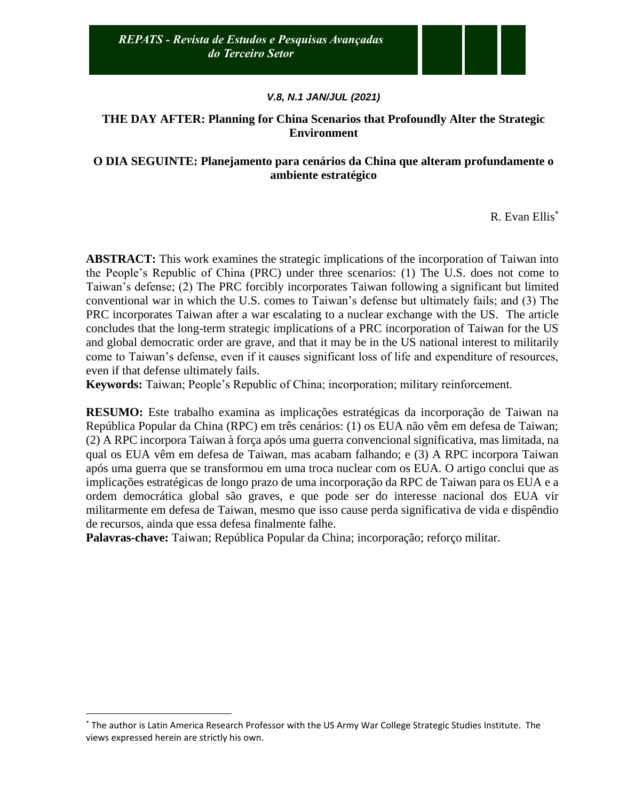# **THE DAY AFTER: Planning for China Scenarios that Profoundly Alter the Strategic Environment**

# **O DIA SEGUINTE: Planejamento para cenários da China que alteram profundamente o ambiente estratégico**

R. Evan Ellis\*

**ABSTRACT:** This work examines the strategic implications of the incorporation of Taiwan into the People's Republic of China (PRC) under three scenarios: (1) The U.S. does not come to Taiwan's defense; (2) The PRC forcibly incorporates Taiwan following a significant but limited conventional war in which the U.S. comes to Taiwan's defense but ultimately fails; and (3) The PRC incorporates Taiwan after a war escalating to a nuclear exchange with the US. The article concludes that the long-term strategic implications of a PRC incorporation of Taiwan for the US and global democratic order are grave, and that it may be in the US national interest to militarily come to Taiwan's defense, even if it causes significant loss of life and expenditure of resources, even if that defense ultimately fails.

**Keywords:** Taiwan; People's Republic of China; incorporation; military reinforcement.

**RESUMO:** Este trabalho examina as implicações estratégicas da incorporação de Taiwan na República Popular da China (RPC) em três cenários: (1) os EUA não vêm em defesa de Taiwan; (2) A RPC incorpora Taiwan à força após uma guerra convencional significativa, mas limitada, na qual os EUA vêm em defesa de Taiwan, mas acabam falhando; e (3) A RPC incorpora Taiwan após uma guerra que se transformou em uma troca nuclear com os EUA. O artigo conclui que as implicações estratégicas de longo prazo de uma incorporação da RPC de Taiwan para os EUA e a ordem democrática global são graves, e que pode ser do interesse nacional dos EUA vir militarmente em defesa de Taiwan, mesmo que isso cause perda significativa de vida e dispêndio de recursos, ainda que essa defesa finalmente falhe.

**Palavras-chave:** Taiwan; República Popular da China; incorporação; reforço militar.

<sup>\*</sup> The author is Latin America Research Professor with the US Army War College Strategic Studies Institute. The views expressed herein are strictly his own.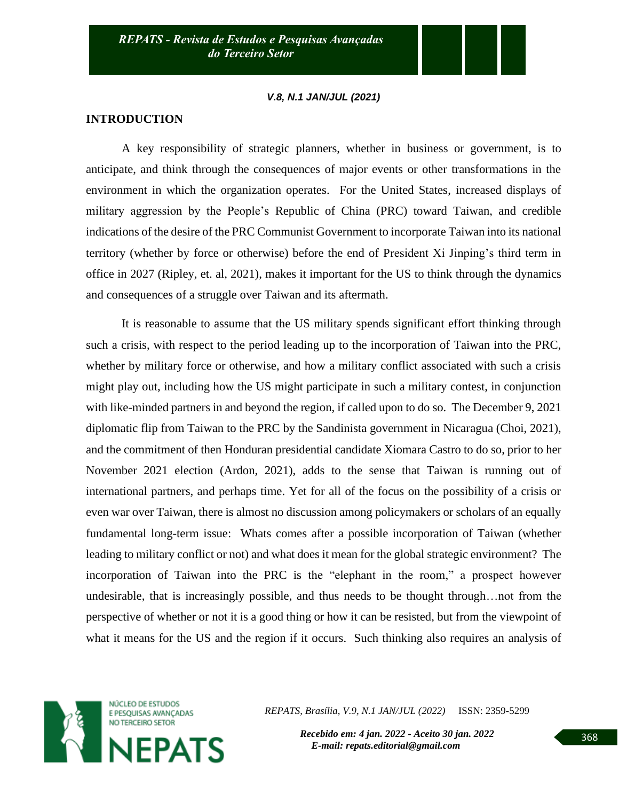### **INTRODUCTION**

A key responsibility of strategic planners, whether in business or government, is to anticipate, and think through the consequences of major events or other transformations in the environment in which the organization operates. For the United States, increased displays of military aggression by the People's Republic of China (PRC) toward Taiwan, and credible indications of the desire of the PRC Communist Government to incorporate Taiwan into its national territory (whether by force or otherwise) before the end of President Xi Jinping's third term in office in 2027 (Ripley, et. al, 2021), makes it important for the US to think through the dynamics and consequences of a struggle over Taiwan and its aftermath.

It is reasonable to assume that the US military spends significant effort thinking through such a crisis, with respect to the period leading up to the incorporation of Taiwan into the PRC, whether by military force or otherwise, and how a military conflict associated with such a crisis might play out, including how the US might participate in such a military contest, in conjunction with like-minded partners in and beyond the region, if called upon to do so. The December 9, 2021 diplomatic flip from Taiwan to the PRC by the Sandinista government in Nicaragua (Choi, 2021), and the commitment of then Honduran presidential candidate Xiomara Castro to do so, prior to her November 2021 election (Ardon, 2021), adds to the sense that Taiwan is running out of international partners, and perhaps time. Yet for all of the focus on the possibility of a crisis or even war over Taiwan, there is almost no discussion among policymakers or scholars of an equally fundamental long-term issue: Whats comes after a possible incorporation of Taiwan (whether leading to military conflict or not) and what does it mean for the global strategic environment? The incorporation of Taiwan into the PRC is the "elephant in the room," a prospect however undesirable, that is increasingly possible, and thus needs to be thought through…not from the perspective of whether or not it is a good thing or how it can be resisted, but from the viewpoint of what it means for the US and the region if it occurs. Such thinking also requires an analysis of



*REPATS, Brasília, V.9, N.1 JAN/JUL (2022)* ISSN: 2359-5299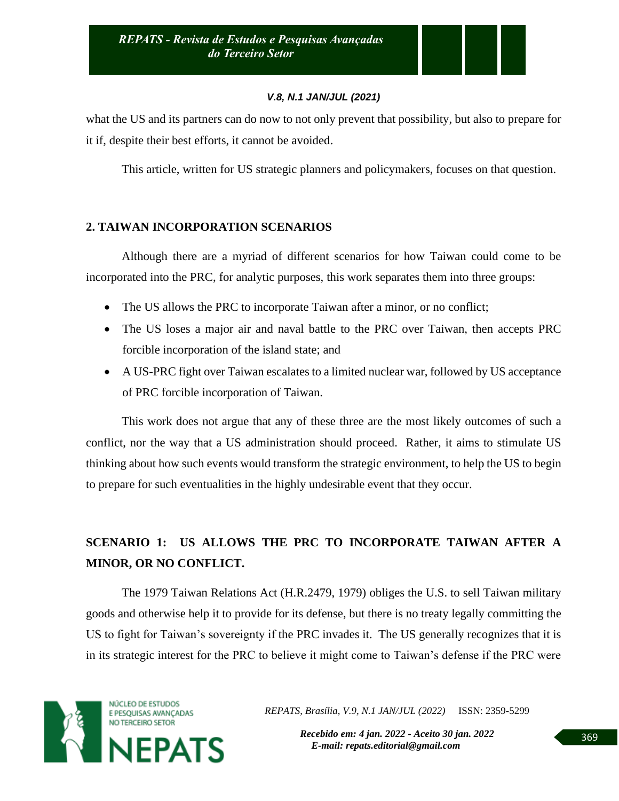what the US and its partners can do now to not only prevent that possibility, but also to prepare for it if, despite their best efforts, it cannot be avoided.

This article, written for US strategic planners and policymakers, focuses on that question.

# **2. TAIWAN INCORPORATION SCENARIOS**

Although there are a myriad of different scenarios for how Taiwan could come to be incorporated into the PRC, for analytic purposes, this work separates them into three groups:

- The US allows the PRC to incorporate Taiwan after a minor, or no conflict;
- The US loses a major air and naval battle to the PRC over Taiwan, then accepts PRC forcible incorporation of the island state; and
- A US-PRC fight over Taiwan escalates to a limited nuclear war, followed by US acceptance of PRC forcible incorporation of Taiwan.

This work does not argue that any of these three are the most likely outcomes of such a conflict, nor the way that a US administration should proceed. Rather, it aims to stimulate US thinking about how such events would transform the strategic environment, to help the US to begin to prepare for such eventualities in the highly undesirable event that they occur.

# **SCENARIO 1: US ALLOWS THE PRC TO INCORPORATE TAIWAN AFTER A MINOR, OR NO CONFLICT.**

The 1979 Taiwan Relations Act (H.R.2479, 1979) obliges the U.S. to sell Taiwan military goods and otherwise help it to provide for its defense, but there is no treaty legally committing the US to fight for Taiwan's sovereignty if the PRC invades it. The US generally recognizes that it is in its strategic interest for the PRC to believe it might come to Taiwan's defense if the PRC were



*REPATS, Brasília, V.9, N.1 JAN/JUL (2022)* ISSN: 2359-5299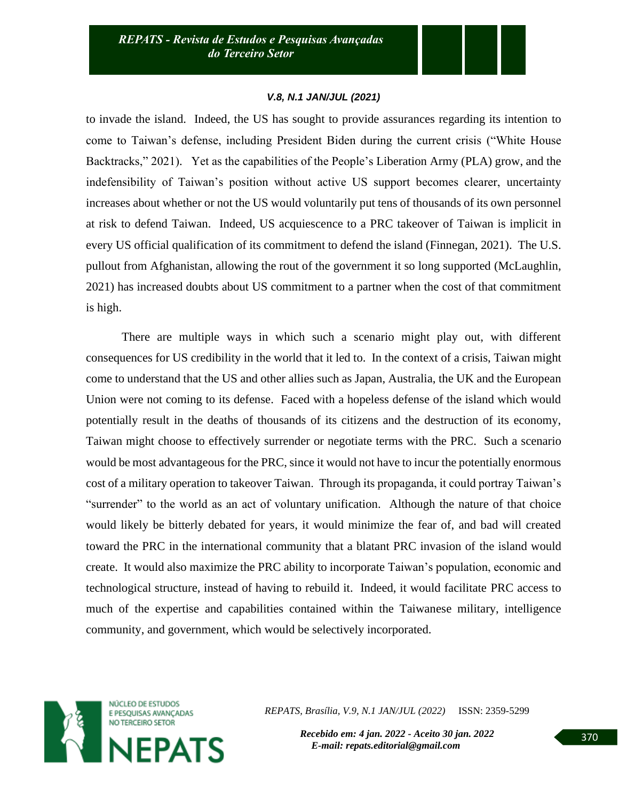to invade the island. Indeed, the US has sought to provide assurances regarding its intention to come to Taiwan's defense, including President Biden during the current crisis ("White House Backtracks," 2021). Yet as the capabilities of the People's Liberation Army (PLA) grow, and the indefensibility of Taiwan's position without active US support becomes clearer, uncertainty increases about whether or not the US would voluntarily put tens of thousands of its own personnel at risk to defend Taiwan. Indeed, US acquiescence to a PRC takeover of Taiwan is implicit in every US official qualification of its commitment to defend the island (Finnegan, 2021). The U.S. pullout from Afghanistan, allowing the rout of the government it so long supported (McLaughlin, 2021) has increased doubts about US commitment to a partner when the cost of that commitment is high.

There are multiple ways in which such a scenario might play out, with different consequences for US credibility in the world that it led to. In the context of a crisis, Taiwan might come to understand that the US and other allies such as Japan, Australia, the UK and the European Union were not coming to its defense. Faced with a hopeless defense of the island which would potentially result in the deaths of thousands of its citizens and the destruction of its economy, Taiwan might choose to effectively surrender or negotiate terms with the PRC. Such a scenario would be most advantageous for the PRC, since it would not have to incur the potentially enormous cost of a military operation to takeover Taiwan. Through its propaganda, it could portray Taiwan's "surrender" to the world as an act of voluntary unification. Although the nature of that choice would likely be bitterly debated for years, it would minimize the fear of, and bad will created toward the PRC in the international community that a blatant PRC invasion of the island would create. It would also maximize the PRC ability to incorporate Taiwan's population, economic and technological structure, instead of having to rebuild it. Indeed, it would facilitate PRC access to much of the expertise and capabilities contained within the Taiwanese military, intelligence community, and government, which would be selectively incorporated.



*REPATS, Brasília, V.9, N.1 JAN/JUL (2022)* ISSN: 2359-5299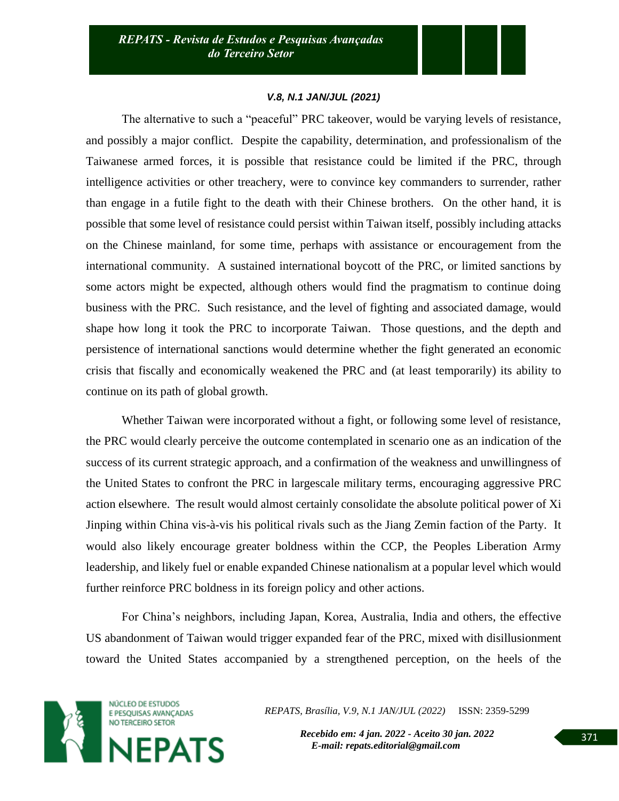The alternative to such a "peaceful" PRC takeover, would be varying levels of resistance, and possibly a major conflict. Despite the capability, determination, and professionalism of the Taiwanese armed forces, it is possible that resistance could be limited if the PRC, through intelligence activities or other treachery, were to convince key commanders to surrender, rather than engage in a futile fight to the death with their Chinese brothers. On the other hand, it is possible that some level of resistance could persist within Taiwan itself, possibly including attacks on the Chinese mainland, for some time, perhaps with assistance or encouragement from the international community. A sustained international boycott of the PRC, or limited sanctions by some actors might be expected, although others would find the pragmatism to continue doing business with the PRC. Such resistance, and the level of fighting and associated damage, would shape how long it took the PRC to incorporate Taiwan. Those questions, and the depth and persistence of international sanctions would determine whether the fight generated an economic crisis that fiscally and economically weakened the PRC and (at least temporarily) its ability to continue on its path of global growth.

Whether Taiwan were incorporated without a fight, or following some level of resistance, the PRC would clearly perceive the outcome contemplated in scenario one as an indication of the success of its current strategic approach, and a confirmation of the weakness and unwillingness of the United States to confront the PRC in largescale military terms, encouraging aggressive PRC action elsewhere. The result would almost certainly consolidate the absolute political power of Xi Jinping within China vis-à-vis his political rivals such as the Jiang Zemin faction of the Party. It would also likely encourage greater boldness within the CCP, the Peoples Liberation Army leadership, and likely fuel or enable expanded Chinese nationalism at a popular level which would further reinforce PRC boldness in its foreign policy and other actions.

For China's neighbors, including Japan, Korea, Australia, India and others, the effective US abandonment of Taiwan would trigger expanded fear of the PRC, mixed with disillusionment toward the United States accompanied by a strengthened perception, on the heels of the



*REPATS, Brasília, V.9, N.1 JAN/JUL (2022)* ISSN: 2359-5299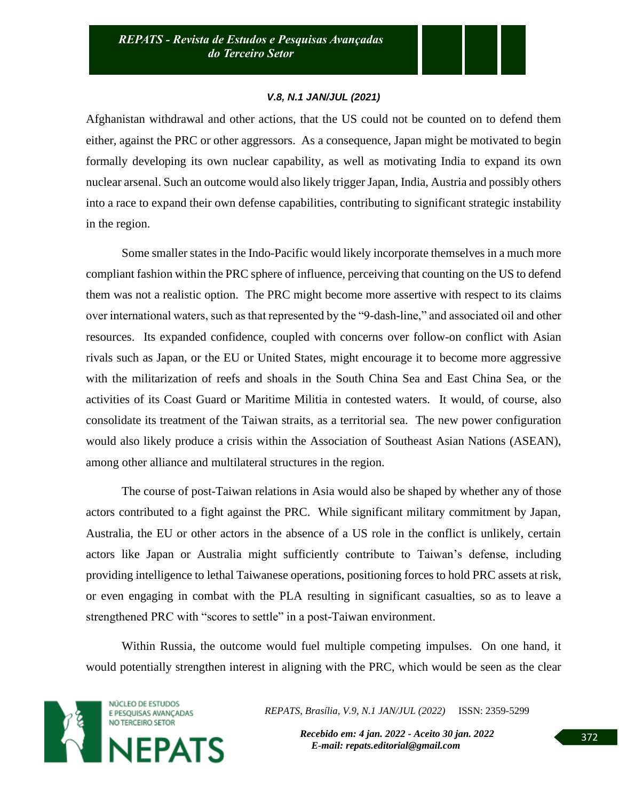Afghanistan withdrawal and other actions, that the US could not be counted on to defend them either, against the PRC or other aggressors. As a consequence, Japan might be motivated to begin formally developing its own nuclear capability, as well as motivating India to expand its own nuclear arsenal. Such an outcome would also likely trigger Japan, India, Austria and possibly others into a race to expand their own defense capabilities, contributing to significant strategic instability in the region.

Some smaller states in the Indo-Pacific would likely incorporate themselves in a much more compliant fashion within the PRC sphere of influence, perceiving that counting on the US to defend them was not a realistic option. The PRC might become more assertive with respect to its claims over international waters, such as that represented by the "9-dash-line," and associated oil and other resources. Its expanded confidence, coupled with concerns over follow-on conflict with Asian rivals such as Japan, or the EU or United States, might encourage it to become more aggressive with the militarization of reefs and shoals in the South China Sea and East China Sea, or the activities of its Coast Guard or Maritime Militia in contested waters. It would, of course, also consolidate its treatment of the Taiwan straits, as a territorial sea. The new power configuration would also likely produce a crisis within the Association of Southeast Asian Nations (ASEAN), among other alliance and multilateral structures in the region.

The course of post-Taiwan relations in Asia would also be shaped by whether any of those actors contributed to a fight against the PRC. While significant military commitment by Japan, Australia, the EU or other actors in the absence of a US role in the conflict is unlikely, certain actors like Japan or Australia might sufficiently contribute to Taiwan's defense, including providing intelligence to lethal Taiwanese operations, positioning forces to hold PRC assets at risk, or even engaging in combat with the PLA resulting in significant casualties, so as to leave a strengthened PRC with "scores to settle" in a post-Taiwan environment.

Within Russia, the outcome would fuel multiple competing impulses. On one hand, it would potentially strengthen interest in aligning with the PRC, which would be seen as the clear



*REPATS, Brasília, V.9, N.1 JAN/JUL (2022)* ISSN: 2359-5299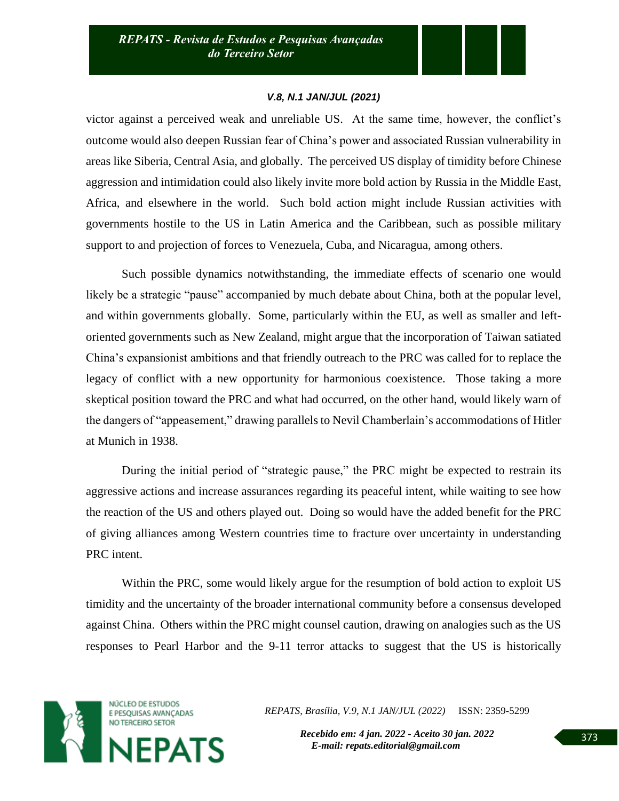victor against a perceived weak and unreliable US. At the same time, however, the conflict's outcome would also deepen Russian fear of China's power and associated Russian vulnerability in areas like Siberia, Central Asia, and globally. The perceived US display of timidity before Chinese aggression and intimidation could also likely invite more bold action by Russia in the Middle East, Africa, and elsewhere in the world. Such bold action might include Russian activities with governments hostile to the US in Latin America and the Caribbean, such as possible military support to and projection of forces to Venezuela, Cuba, and Nicaragua, among others.

Such possible dynamics notwithstanding, the immediate effects of scenario one would likely be a strategic "pause" accompanied by much debate about China, both at the popular level, and within governments globally. Some, particularly within the EU, as well as smaller and leftoriented governments such as New Zealand, might argue that the incorporation of Taiwan satiated China's expansionist ambitions and that friendly outreach to the PRC was called for to replace the legacy of conflict with a new opportunity for harmonious coexistence. Those taking a more skeptical position toward the PRC and what had occurred, on the other hand, would likely warn of the dangers of "appeasement," drawing parallels to Nevil Chamberlain's accommodations of Hitler at Munich in 1938.

During the initial period of "strategic pause," the PRC might be expected to restrain its aggressive actions and increase assurances regarding its peaceful intent, while waiting to see how the reaction of the US and others played out. Doing so would have the added benefit for the PRC of giving alliances among Western countries time to fracture over uncertainty in understanding PRC intent.

Within the PRC, some would likely argue for the resumption of bold action to exploit US timidity and the uncertainty of the broader international community before a consensus developed against China. Others within the PRC might counsel caution, drawing on analogies such as the US responses to Pearl Harbor and the 9-11 terror attacks to suggest that the US is historically



*REPATS, Brasília, V.9, N.1 JAN/JUL (2022)* ISSN: 2359-5299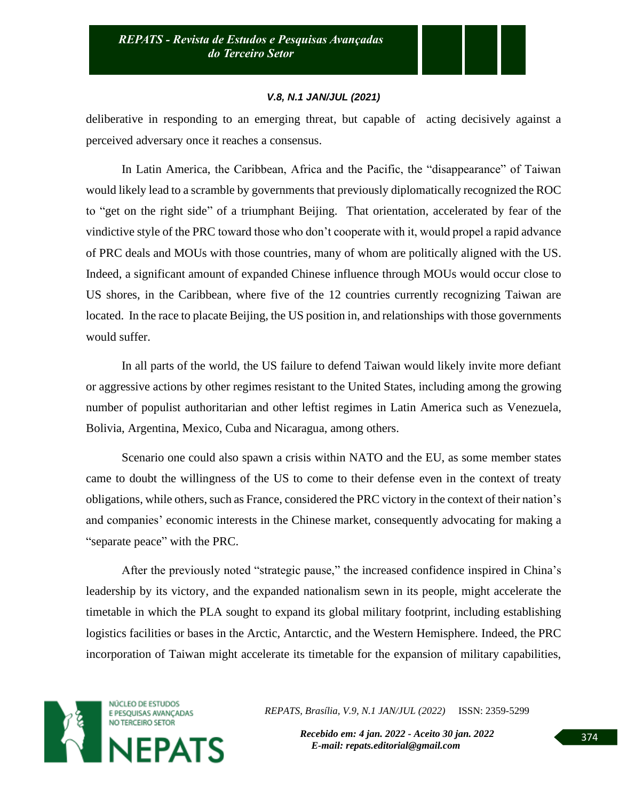deliberative in responding to an emerging threat, but capable of acting decisively against a perceived adversary once it reaches a consensus.

In Latin America, the Caribbean, Africa and the Pacific, the "disappearance" of Taiwan would likely lead to a scramble by governments that previously diplomatically recognized the ROC to "get on the right side" of a triumphant Beijing. That orientation, accelerated by fear of the vindictive style of the PRC toward those who don't cooperate with it, would propel a rapid advance of PRC deals and MOUs with those countries, many of whom are politically aligned with the US. Indeed, a significant amount of expanded Chinese influence through MOUs would occur close to US shores, in the Caribbean, where five of the 12 countries currently recognizing Taiwan are located. In the race to placate Beijing, the US position in, and relationships with those governments would suffer.

In all parts of the world, the US failure to defend Taiwan would likely invite more defiant or aggressive actions by other regimes resistant to the United States, including among the growing number of populist authoritarian and other leftist regimes in Latin America such as Venezuela, Bolivia, Argentina, Mexico, Cuba and Nicaragua, among others.

Scenario one could also spawn a crisis within NATO and the EU, as some member states came to doubt the willingness of the US to come to their defense even in the context of treaty obligations, while others, such as France, considered the PRC victory in the context of their nation's and companies' economic interests in the Chinese market, consequently advocating for making a "separate peace" with the PRC.

After the previously noted "strategic pause," the increased confidence inspired in China's leadership by its victory, and the expanded nationalism sewn in its people, might accelerate the timetable in which the PLA sought to expand its global military footprint, including establishing logistics facilities or bases in the Arctic, Antarctic, and the Western Hemisphere. Indeed, the PRC incorporation of Taiwan might accelerate its timetable for the expansion of military capabilities,



*REPATS, Brasília, V.9, N.1 JAN/JUL (2022)* ISSN: 2359-5299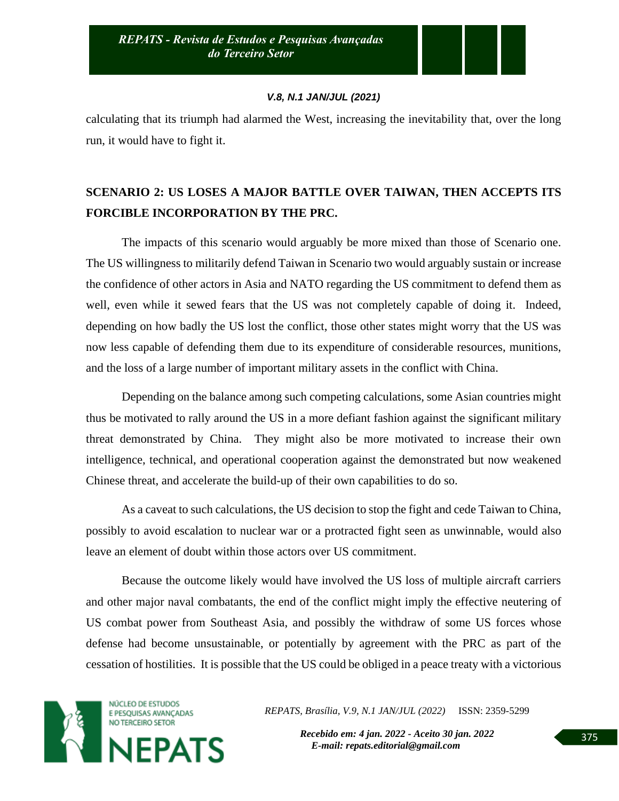calculating that its triumph had alarmed the West, increasing the inevitability that, over the long run, it would have to fight it.

# **SCENARIO 2: US LOSES A MAJOR BATTLE OVER TAIWAN, THEN ACCEPTS ITS FORCIBLE INCORPORATION BY THE PRC.**

The impacts of this scenario would arguably be more mixed than those of Scenario one. The US willingness to militarily defend Taiwan in Scenario two would arguably sustain or increase the confidence of other actors in Asia and NATO regarding the US commitment to defend them as well, even while it sewed fears that the US was not completely capable of doing it. Indeed, depending on how badly the US lost the conflict, those other states might worry that the US was now less capable of defending them due to its expenditure of considerable resources, munitions, and the loss of a large number of important military assets in the conflict with China.

Depending on the balance among such competing calculations, some Asian countries might thus be motivated to rally around the US in a more defiant fashion against the significant military threat demonstrated by China. They might also be more motivated to increase their own intelligence, technical, and operational cooperation against the demonstrated but now weakened Chinese threat, and accelerate the build-up of their own capabilities to do so.

As a caveat to such calculations, the US decision to stop the fight and cede Taiwan to China, possibly to avoid escalation to nuclear war or a protracted fight seen as unwinnable, would also leave an element of doubt within those actors over US commitment.

Because the outcome likely would have involved the US loss of multiple aircraft carriers and other major naval combatants, the end of the conflict might imply the effective neutering of US combat power from Southeast Asia, and possibly the withdraw of some US forces whose defense had become unsustainable, or potentially by agreement with the PRC as part of the cessation of hostilities. It is possible that the US could be obliged in a peace treaty with a victorious



*REPATS, Brasília, V.9, N.1 JAN/JUL (2022)* ISSN: 2359-5299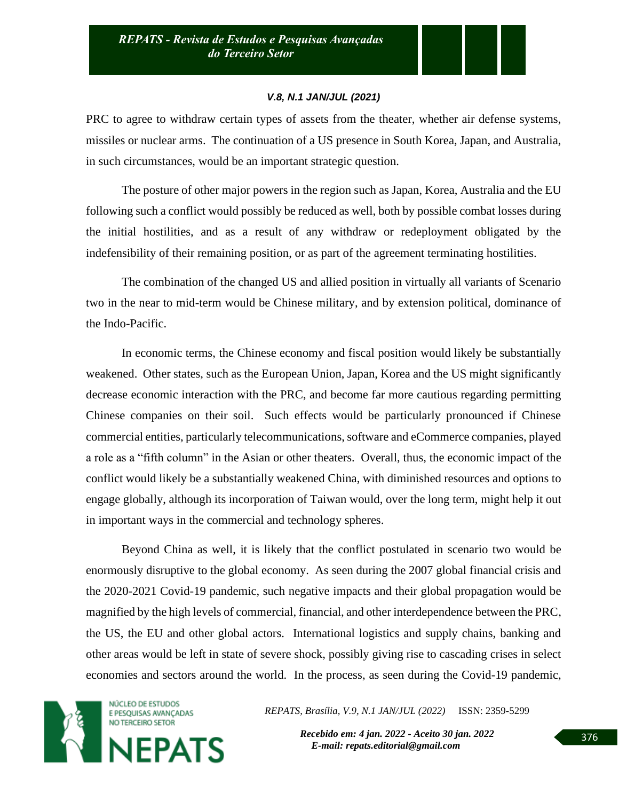PRC to agree to withdraw certain types of assets from the theater, whether air defense systems, missiles or nuclear arms. The continuation of a US presence in South Korea, Japan, and Australia, in such circumstances, would be an important strategic question.

The posture of other major powers in the region such as Japan, Korea, Australia and the EU following such a conflict would possibly be reduced as well, both by possible combat losses during the initial hostilities, and as a result of any withdraw or redeployment obligated by the indefensibility of their remaining position, or as part of the agreement terminating hostilities.

The combination of the changed US and allied position in virtually all variants of Scenario two in the near to mid-term would be Chinese military, and by extension political, dominance of the Indo-Pacific.

In economic terms, the Chinese economy and fiscal position would likely be substantially weakened. Other states, such as the European Union, Japan, Korea and the US might significantly decrease economic interaction with the PRC, and become far more cautious regarding permitting Chinese companies on their soil. Such effects would be particularly pronounced if Chinese commercial entities, particularly telecommunications, software and eCommerce companies, played a role as a "fifth column" in the Asian or other theaters. Overall, thus, the economic impact of the conflict would likely be a substantially weakened China, with diminished resources and options to engage globally, although its incorporation of Taiwan would, over the long term, might help it out in important ways in the commercial and technology spheres.

Beyond China as well, it is likely that the conflict postulated in scenario two would be enormously disruptive to the global economy. As seen during the 2007 global financial crisis and the 2020-2021 Covid-19 pandemic, such negative impacts and their global propagation would be magnified by the high levels of commercial, financial, and other interdependence between the PRC, the US, the EU and other global actors. International logistics and supply chains, banking and other areas would be left in state of severe shock, possibly giving rise to cascading crises in select economies and sectors around the world. In the process, as seen during the Covid-19 pandemic,



*REPATS, Brasília, V.9, N.1 JAN/JUL (2022)* ISSN: 2359-5299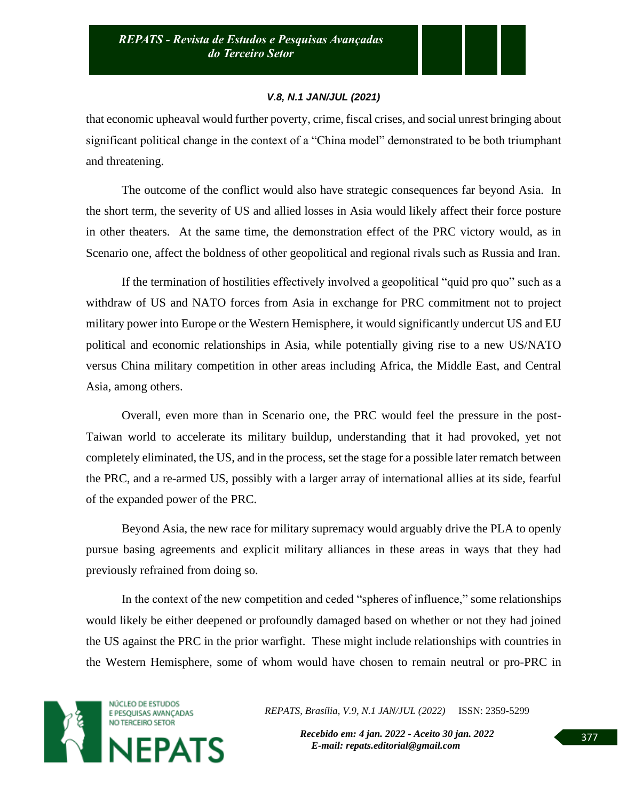that economic upheaval would further poverty, crime, fiscal crises, and social unrest bringing about significant political change in the context of a "China model" demonstrated to be both triumphant and threatening.

The outcome of the conflict would also have strategic consequences far beyond Asia. In the short term, the severity of US and allied losses in Asia would likely affect their force posture in other theaters. At the same time, the demonstration effect of the PRC victory would, as in Scenario one, affect the boldness of other geopolitical and regional rivals such as Russia and Iran.

If the termination of hostilities effectively involved a geopolitical "quid pro quo" such as a withdraw of US and NATO forces from Asia in exchange for PRC commitment not to project military power into Europe or the Western Hemisphere, it would significantly undercut US and EU political and economic relationships in Asia, while potentially giving rise to a new US/NATO versus China military competition in other areas including Africa, the Middle East, and Central Asia, among others.

Overall, even more than in Scenario one, the PRC would feel the pressure in the post-Taiwan world to accelerate its military buildup, understanding that it had provoked, yet not completely eliminated, the US, and in the process, set the stage for a possible later rematch between the PRC, and a re-armed US, possibly with a larger array of international allies at its side, fearful of the expanded power of the PRC.

Beyond Asia, the new race for military supremacy would arguably drive the PLA to openly pursue basing agreements and explicit military alliances in these areas in ways that they had previously refrained from doing so.

In the context of the new competition and ceded "spheres of influence," some relationships would likely be either deepened or profoundly damaged based on whether or not they had joined the US against the PRC in the prior warfight. These might include relationships with countries in the Western Hemisphere, some of whom would have chosen to remain neutral or pro-PRC in



*REPATS, Brasília, V.9, N.1 JAN/JUL (2022)* ISSN: 2359-5299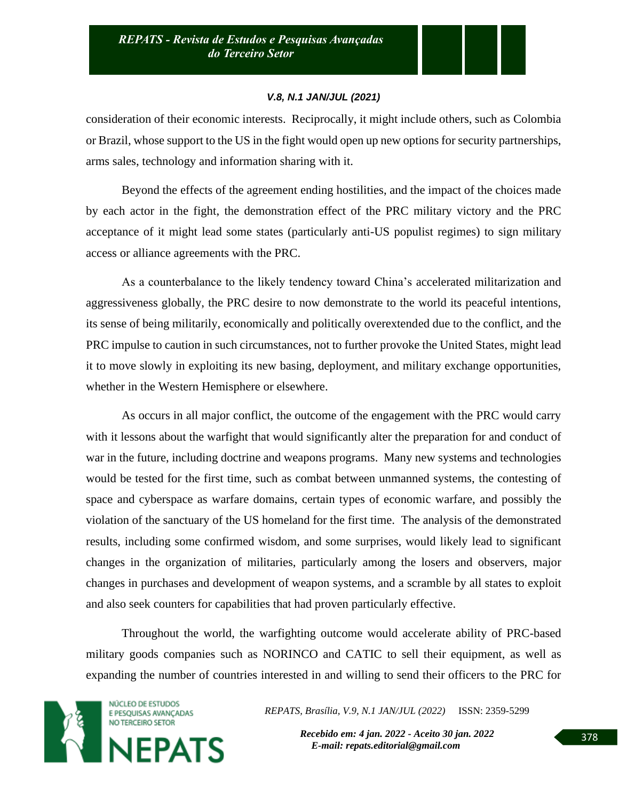consideration of their economic interests. Reciprocally, it might include others, such as Colombia or Brazil, whose support to the US in the fight would open up new options for security partnerships, arms sales, technology and information sharing with it.

Beyond the effects of the agreement ending hostilities, and the impact of the choices made by each actor in the fight, the demonstration effect of the PRC military victory and the PRC acceptance of it might lead some states (particularly anti-US populist regimes) to sign military access or alliance agreements with the PRC.

As a counterbalance to the likely tendency toward China's accelerated militarization and aggressiveness globally, the PRC desire to now demonstrate to the world its peaceful intentions, its sense of being militarily, economically and politically overextended due to the conflict, and the PRC impulse to caution in such circumstances, not to further provoke the United States, might lead it to move slowly in exploiting its new basing, deployment, and military exchange opportunities, whether in the Western Hemisphere or elsewhere.

As occurs in all major conflict, the outcome of the engagement with the PRC would carry with it lessons about the warfight that would significantly alter the preparation for and conduct of war in the future, including doctrine and weapons programs. Many new systems and technologies would be tested for the first time, such as combat between unmanned systems, the contesting of space and cyberspace as warfare domains, certain types of economic warfare, and possibly the violation of the sanctuary of the US homeland for the first time. The analysis of the demonstrated results, including some confirmed wisdom, and some surprises, would likely lead to significant changes in the organization of militaries, particularly among the losers and observers, major changes in purchases and development of weapon systems, and a scramble by all states to exploit and also seek counters for capabilities that had proven particularly effective.

Throughout the world, the warfighting outcome would accelerate ability of PRC-based military goods companies such as NORINCO and CATIC to sell their equipment, as well as expanding the number of countries interested in and willing to send their officers to the PRC for



*REPATS, Brasília, V.9, N.1 JAN/JUL (2022)* ISSN: 2359-5299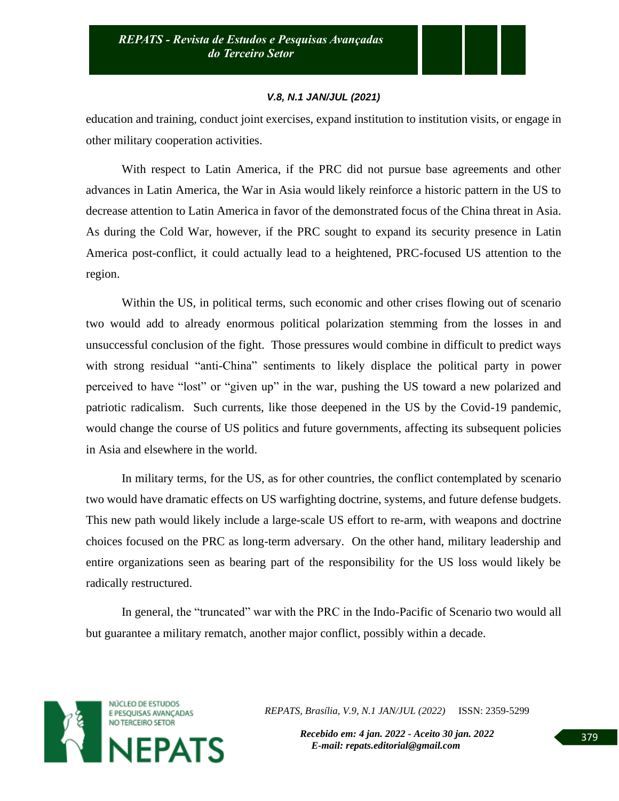education and training, conduct joint exercises, expand institution to institution visits, or engage in other military cooperation activities.

With respect to Latin America, if the PRC did not pursue base agreements and other advances in Latin America, the War in Asia would likely reinforce a historic pattern in the US to decrease attention to Latin America in favor of the demonstrated focus of the China threat in Asia. As during the Cold War, however, if the PRC sought to expand its security presence in Latin America post-conflict, it could actually lead to a heightened, PRC-focused US attention to the region.

Within the US, in political terms, such economic and other crises flowing out of scenario two would add to already enormous political polarization stemming from the losses in and unsuccessful conclusion of the fight. Those pressures would combine in difficult to predict ways with strong residual "anti-China" sentiments to likely displace the political party in power perceived to have "lost" or "given up" in the war, pushing the US toward a new polarized and patriotic radicalism. Such currents, like those deepened in the US by the Covid-19 pandemic, would change the course of US politics and future governments, affecting its subsequent policies in Asia and elsewhere in the world.

In military terms, for the US, as for other countries, the conflict contemplated by scenario two would have dramatic effects on US warfighting doctrine, systems, and future defense budgets. This new path would likely include a large-scale US effort to re-arm, with weapons and doctrine choices focused on the PRC as long-term adversary. On the other hand, military leadership and entire organizations seen as bearing part of the responsibility for the US loss would likely be radically restructured.

In general, the "truncated" war with the PRC in the Indo-Pacific of Scenario two would all but guarantee a military rematch, another major conflict, possibly within a decade.



*REPATS, Brasília, V.9, N.1 JAN/JUL (2022)* ISSN: 2359-5299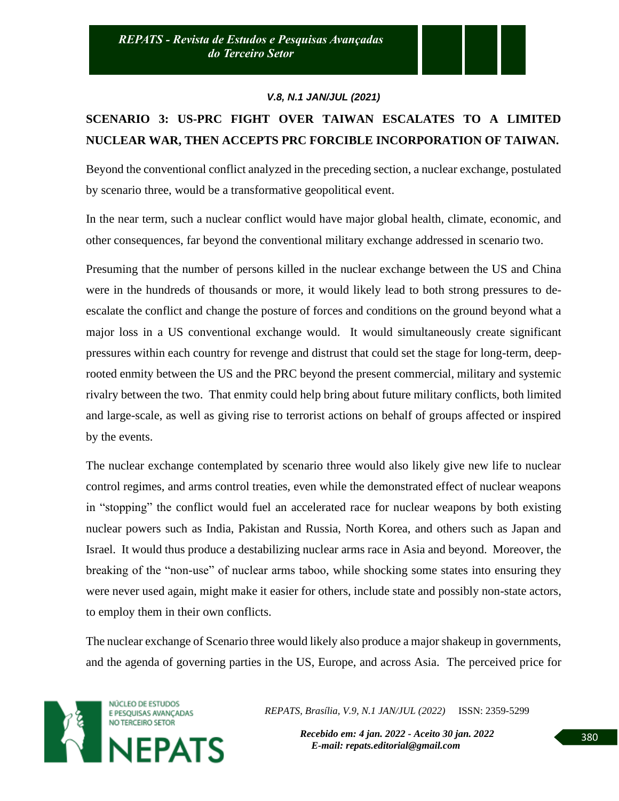# **SCENARIO 3: US-PRC FIGHT OVER TAIWAN ESCALATES TO A LIMITED NUCLEAR WAR, THEN ACCEPTS PRC FORCIBLE INCORPORATION OF TAIWAN.**

Beyond the conventional conflict analyzed in the preceding section, a nuclear exchange, postulated by scenario three, would be a transformative geopolitical event.

In the near term, such a nuclear conflict would have major global health, climate, economic, and other consequences, far beyond the conventional military exchange addressed in scenario two.

Presuming that the number of persons killed in the nuclear exchange between the US and China were in the hundreds of thousands or more, it would likely lead to both strong pressures to deescalate the conflict and change the posture of forces and conditions on the ground beyond what a major loss in a US conventional exchange would. It would simultaneously create significant pressures within each country for revenge and distrust that could set the stage for long-term, deeprooted enmity between the US and the PRC beyond the present commercial, military and systemic rivalry between the two. That enmity could help bring about future military conflicts, both limited and large-scale, as well as giving rise to terrorist actions on behalf of groups affected or inspired by the events.

The nuclear exchange contemplated by scenario three would also likely give new life to nuclear control regimes, and arms control treaties, even while the demonstrated effect of nuclear weapons in "stopping" the conflict would fuel an accelerated race for nuclear weapons by both existing nuclear powers such as India, Pakistan and Russia, North Korea, and others such as Japan and Israel. It would thus produce a destabilizing nuclear arms race in Asia and beyond. Moreover, the breaking of the "non-use" of nuclear arms taboo, while shocking some states into ensuring they were never used again, might make it easier for others, include state and possibly non-state actors, to employ them in their own conflicts.

The nuclear exchange of Scenario three would likely also produce a major shakeup in governments, and the agenda of governing parties in the US, Europe, and across Asia. The perceived price for



*REPATS, Brasília, V.9, N.1 JAN/JUL (2022)* ISSN: 2359-5299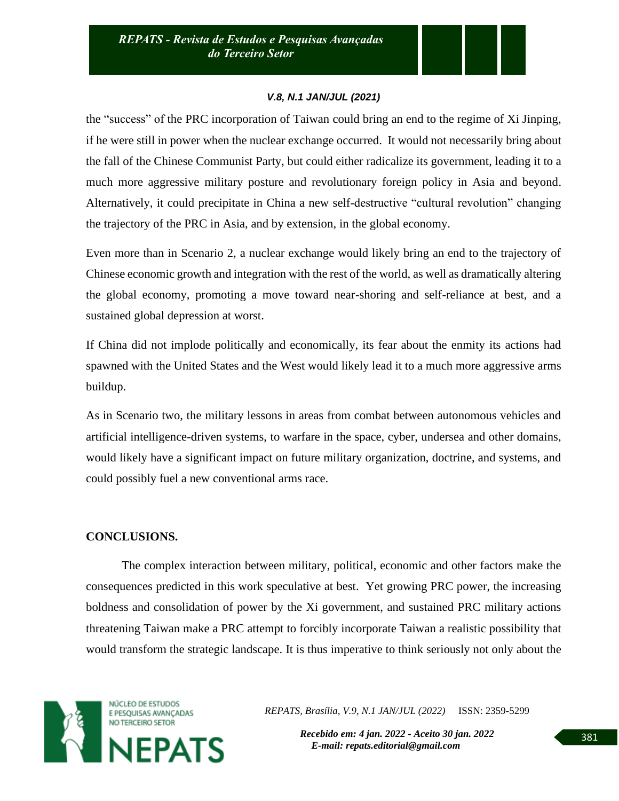the "success" of the PRC incorporation of Taiwan could bring an end to the regime of Xi Jinping, if he were still in power when the nuclear exchange occurred. It would not necessarily bring about the fall of the Chinese Communist Party, but could either radicalize its government, leading it to a much more aggressive military posture and revolutionary foreign policy in Asia and beyond. Alternatively, it could precipitate in China a new self-destructive "cultural revolution" changing the trajectory of the PRC in Asia, and by extension, in the global economy.

Even more than in Scenario 2, a nuclear exchange would likely bring an end to the trajectory of Chinese economic growth and integration with the rest of the world, as well as dramatically altering the global economy, promoting a move toward near-shoring and self-reliance at best, and a sustained global depression at worst.

If China did not implode politically and economically, its fear about the enmity its actions had spawned with the United States and the West would likely lead it to a much more aggressive arms buildup.

As in Scenario two, the military lessons in areas from combat between autonomous vehicles and artificial intelligence-driven systems, to warfare in the space, cyber, undersea and other domains, would likely have a significant impact on future military organization, doctrine, and systems, and could possibly fuel a new conventional arms race.

# **CONCLUSIONS.**

The complex interaction between military, political, economic and other factors make the consequences predicted in this work speculative at best. Yet growing PRC power, the increasing boldness and consolidation of power by the Xi government, and sustained PRC military actions threatening Taiwan make a PRC attempt to forcibly incorporate Taiwan a realistic possibility that would transform the strategic landscape. It is thus imperative to think seriously not only about the



*REPATS, Brasília, V.9, N.1 JAN/JUL (2022)* ISSN: 2359-5299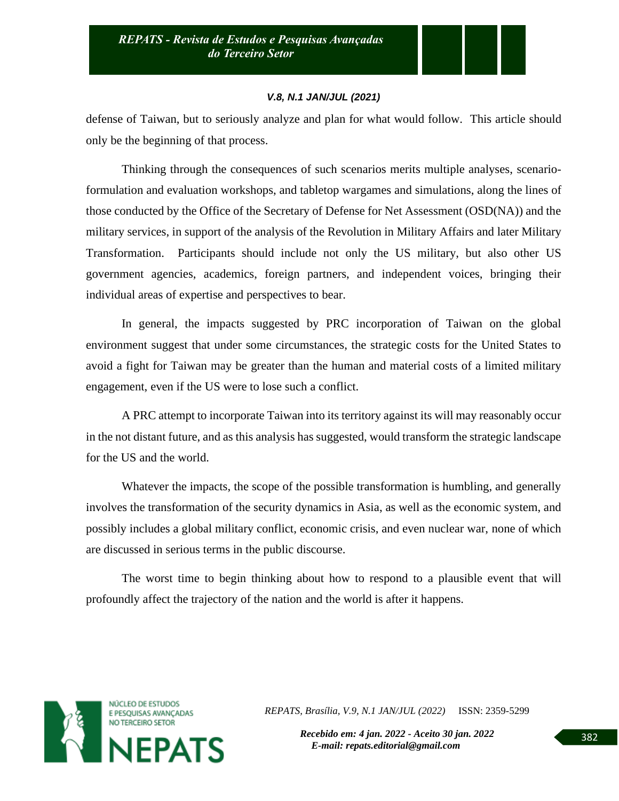defense of Taiwan, but to seriously analyze and plan for what would follow. This article should only be the beginning of that process.

Thinking through the consequences of such scenarios merits multiple analyses, scenarioformulation and evaluation workshops, and tabletop wargames and simulations, along the lines of those conducted by the Office of the Secretary of Defense for Net Assessment (OSD(NA)) and the military services, in support of the analysis of the Revolution in Military Affairs and later Military Transformation. Participants should include not only the US military, but also other US government agencies, academics, foreign partners, and independent voices, bringing their individual areas of expertise and perspectives to bear.

In general, the impacts suggested by PRC incorporation of Taiwan on the global environment suggest that under some circumstances, the strategic costs for the United States to avoid a fight for Taiwan may be greater than the human and material costs of a limited military engagement, even if the US were to lose such a conflict.

A PRC attempt to incorporate Taiwan into its territory against its will may reasonably occur in the not distant future, and as this analysis has suggested, would transform the strategic landscape for the US and the world.

Whatever the impacts, the scope of the possible transformation is humbling, and generally involves the transformation of the security dynamics in Asia, as well as the economic system, and possibly includes a global military conflict, economic crisis, and even nuclear war, none of which are discussed in serious terms in the public discourse.

The worst time to begin thinking about how to respond to a plausible event that will profoundly affect the trajectory of the nation and the world is after it happens.



*REPATS, Brasília, V.9, N.1 JAN/JUL (2022)* ISSN: 2359-5299